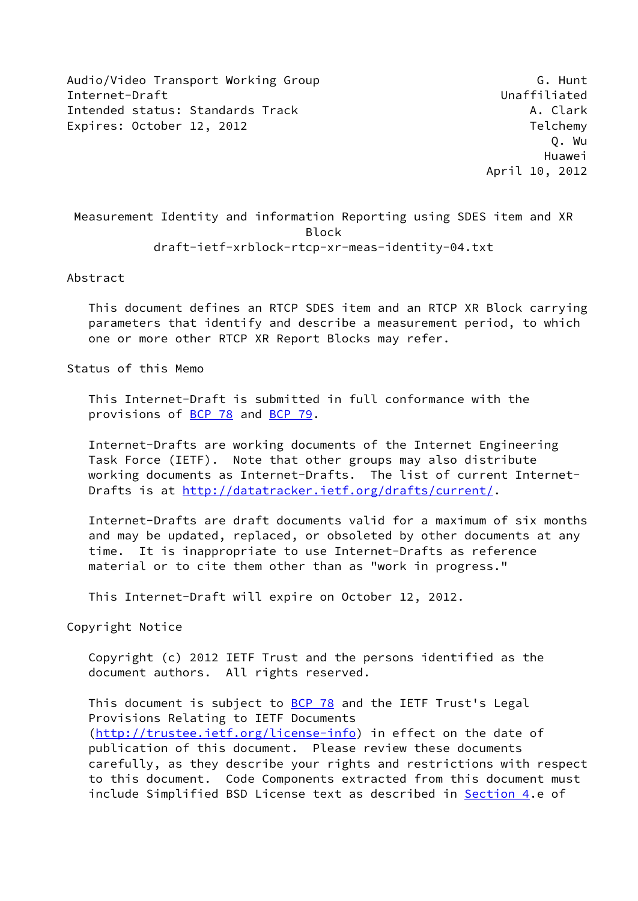Audio/Video Transport Working Group G. G. Hunt Internet-Draft Unaffiliated Intended status: Standards Track A. Clark A. Clark Expires: October 12, 2012 **Telemy** 

 Measurement Identity and information Reporting using SDES item and XR Block draft-ietf-xrblock-rtcp-xr-meas-identity-04.txt

Abstract

 This document defines an RTCP SDES item and an RTCP XR Block carrying parameters that identify and describe a measurement period, to which one or more other RTCP XR Report Blocks may refer.

Status of this Memo

 This Internet-Draft is submitted in full conformance with the provisions of [BCP 78](https://datatracker.ietf.org/doc/pdf/bcp78) and [BCP 79](https://datatracker.ietf.org/doc/pdf/bcp79).

 Internet-Drafts are working documents of the Internet Engineering Task Force (IETF). Note that other groups may also distribute working documents as Internet-Drafts. The list of current Internet Drafts is at<http://datatracker.ietf.org/drafts/current/>.

 Internet-Drafts are draft documents valid for a maximum of six months and may be updated, replaced, or obsoleted by other documents at any time. It is inappropriate to use Internet-Drafts as reference material or to cite them other than as "work in progress."

This Internet-Draft will expire on October 12, 2012.

Copyright Notice

 Copyright (c) 2012 IETF Trust and the persons identified as the document authors. All rights reserved.

This document is subject to **[BCP 78](https://datatracker.ietf.org/doc/pdf/bcp78)** and the IETF Trust's Legal Provisions Relating to IETF Documents [\(http://trustee.ietf.org/license-info](http://trustee.ietf.org/license-info)) in effect on the date of publication of this document. Please review these documents carefully, as they describe your rights and restrictions with respect to this document. Code Components extracted from this document must include Simplified BSD License text as described in [Section 4.](#page-6-0)e of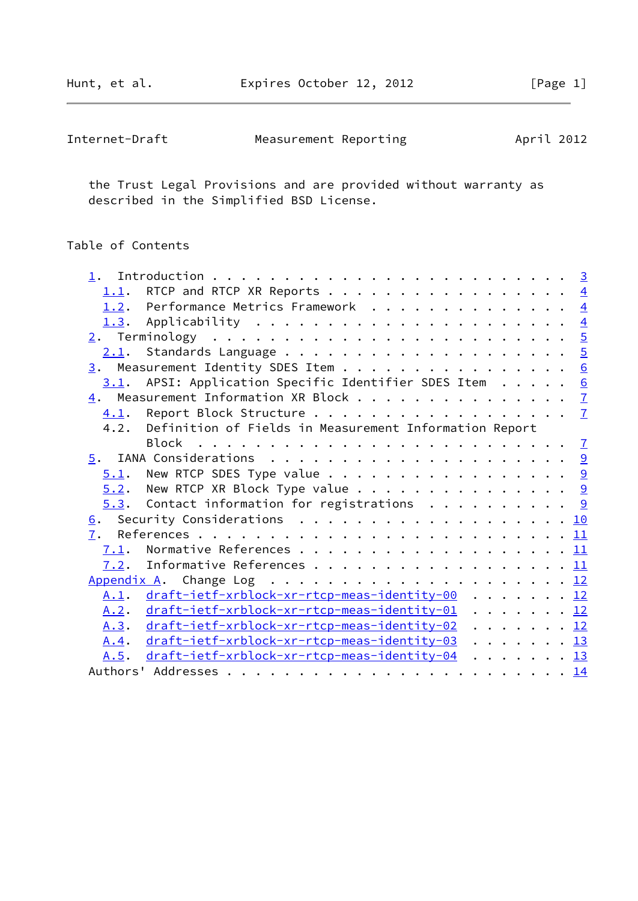Hunt, et al. **Expires October 12, 2012** [Page 1]

| Internet-Draft | Measurement Reporting | April 2012 |
|----------------|-----------------------|------------|
|----------------|-----------------------|------------|

 the Trust Legal Provisions and are provided without warranty as described in the Simplified BSD License.

# Table of Contents

|      | 1.1. RTCP and RTCP XR Reports 4                             |  |
|------|-------------------------------------------------------------|--|
|      | 1.2. Performance Metrics Framework 4                        |  |
|      |                                                             |  |
|      |                                                             |  |
|      |                                                             |  |
|      | $\underline{3}$ . Measurement Identity SDES Item 6          |  |
|      | $3.1$ . APSI: Application Specific Identifier SDES Item 6   |  |
|      | 4. Measurement Information XR Block 7                       |  |
|      |                                                             |  |
|      | 4.2. Definition of Fields in Measurement Information Report |  |
|      |                                                             |  |
|      |                                                             |  |
|      | $5.1$ . New RTCP SDES Type value 9                          |  |
|      | $5.2$ . New RTCP XR Block Type value 9                      |  |
|      | $5.3.$ Contact information for registrations 9              |  |
|      | 6. Security Considerations 10                               |  |
|      |                                                             |  |
| 7.1. |                                                             |  |
| 7.2. | Informative References 11                                   |  |
|      |                                                             |  |
|      | A.1. draft-ietf-xrblock-xr-rtcp-meas-identity-00 12         |  |
| A.2. | draft-ietf-xrblock-xr-rtcp-meas-identity-01 12              |  |
|      | A.3. draft-ietf-xrblock-xr-rtcp-meas-identity-02 12         |  |
| A.4. | draft-ietf-xrblock-xr-rtcp-meas-identity-03 13              |  |
| A.5. | draft-ietf-xrblock-xr-rtcp-meas-identity-04 13              |  |
|      |                                                             |  |
|      |                                                             |  |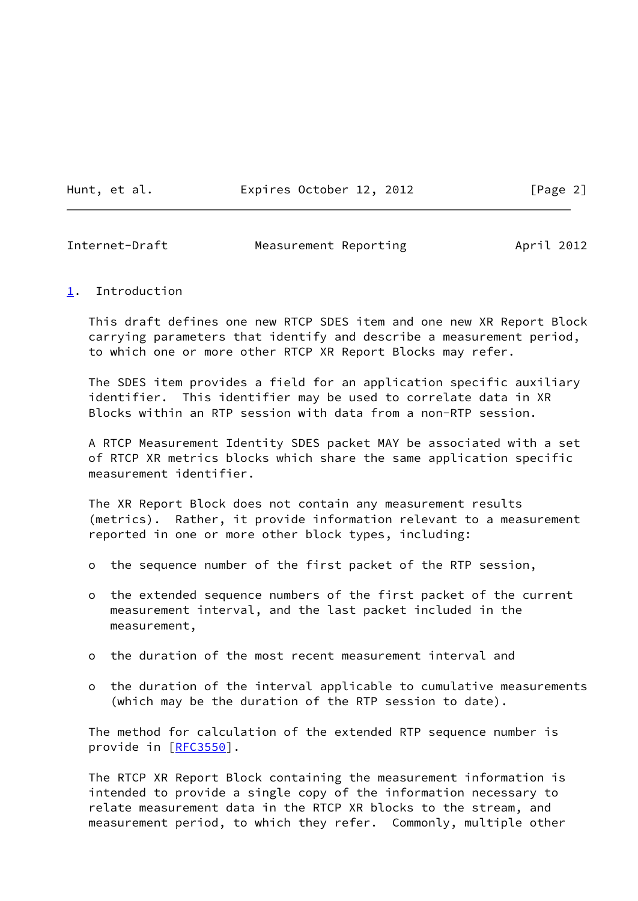Hunt, et al. **Expires October 12, 2012** [Page 2]

<span id="page-2-1"></span>Internet-Draft Measurement Reporting April 2012

#### <span id="page-2-0"></span>[1](#page-2-0). Introduction

 This draft defines one new RTCP SDES item and one new XR Report Block carrying parameters that identify and describe a measurement period, to which one or more other RTCP XR Report Blocks may refer.

 The SDES item provides a field for an application specific auxiliary identifier. This identifier may be used to correlate data in XR Blocks within an RTP session with data from a non-RTP session.

 A RTCP Measurement Identity SDES packet MAY be associated with a set of RTCP XR metrics blocks which share the same application specific measurement identifier.

 The XR Report Block does not contain any measurement results (metrics). Rather, it provide information relevant to a measurement reported in one or more other block types, including:

- o the sequence number of the first packet of the RTP session,
- o the extended sequence numbers of the first packet of the current measurement interval, and the last packet included in the measurement,
- o the duration of the most recent measurement interval and
- o the duration of the interval applicable to cumulative measurements (which may be the duration of the RTP session to date).

 The method for calculation of the extended RTP sequence number is provide in [[RFC3550\]](https://datatracker.ietf.org/doc/pdf/rfc3550).

 The RTCP XR Report Block containing the measurement information is intended to provide a single copy of the information necessary to relate measurement data in the RTCP XR blocks to the stream, and measurement period, to which they refer. Commonly, multiple other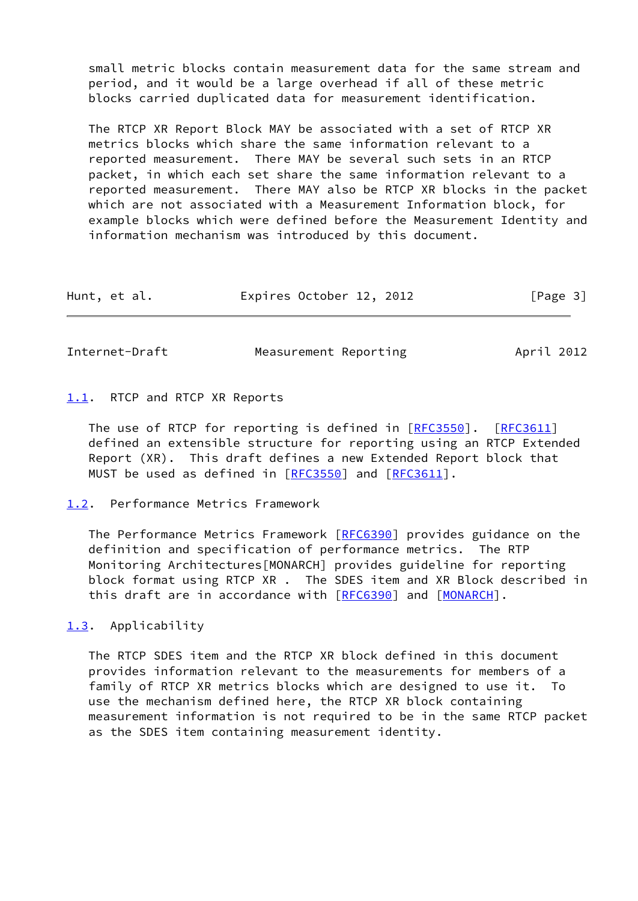small metric blocks contain measurement data for the same stream and period, and it would be a large overhead if all of these metric blocks carried duplicated data for measurement identification.

 The RTCP XR Report Block MAY be associated with a set of RTCP XR metrics blocks which share the same information relevant to a reported measurement. There MAY be several such sets in an RTCP packet, in which each set share the same information relevant to a reported measurement. There MAY also be RTCP XR blocks in the packet which are not associated with a Measurement Information block, for example blocks which were defined before the Measurement Identity and information mechanism was introduced by this document.

| Hunt, et al. | Expires October 12, 2012 |  | [Page 3] |
|--------------|--------------------------|--|----------|
|--------------|--------------------------|--|----------|

<span id="page-3-1"></span>Internet-Draft Measurement Reporting Measurement Reporting

#### <span id="page-3-0"></span>[1.1](#page-3-0). RTCP and RTCP XR Reports

The use of RTCP for reporting is defined in [\[RFC3550](https://datatracker.ietf.org/doc/pdf/rfc3550)]. [\[RFC3611](https://datatracker.ietf.org/doc/pdf/rfc3611)] defined an extensible structure for reporting using an RTCP Extended Report (XR). This draft defines a new Extended Report block that MUST be used as defined in [[RFC3550\]](https://datatracker.ietf.org/doc/pdf/rfc3550) and [\[RFC3611](https://datatracker.ietf.org/doc/pdf/rfc3611)].

### <span id="page-3-2"></span>[1.2](#page-3-2). Performance Metrics Framework

The Performance Metrics Framework [[RFC6390](https://datatracker.ietf.org/doc/pdf/rfc6390)] provides guidance on the definition and specification of performance metrics. The RTP Monitoring Architectures[MONARCH] provides guideline for reporting block format using RTCP XR . The SDES item and XR Block described in this draft are in accordance with [[RFC6390](https://datatracker.ietf.org/doc/pdf/rfc6390)] and [\[MONARCH](#page-11-4)].

<span id="page-3-3"></span>[1.3](#page-3-3). Applicability

 The RTCP SDES item and the RTCP XR block defined in this document provides information relevant to the measurements for members of a family of RTCP XR metrics blocks which are designed to use it. To use the mechanism defined here, the RTCP XR block containing measurement information is not required to be in the same RTCP packet as the SDES item containing measurement identity.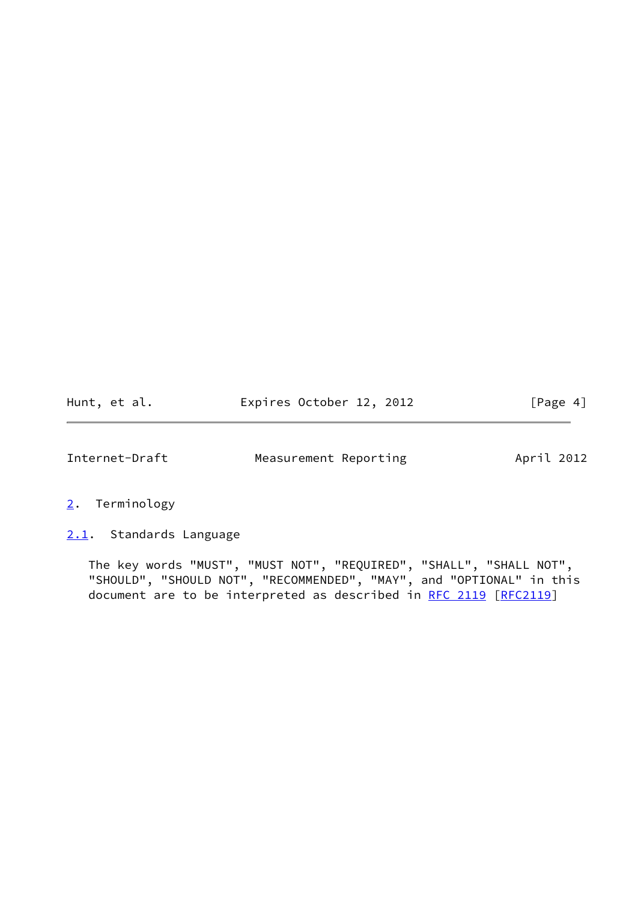<span id="page-4-1"></span>

| Hunt, et al. | Expires October 12, 2012 |  | [Page 4] |
|--------------|--------------------------|--|----------|
|--------------|--------------------------|--|----------|

- <span id="page-4-0"></span>[2](#page-4-0). Terminology
- <span id="page-4-2"></span>[2.1](#page-4-2). Standards Language

 The key words "MUST", "MUST NOT", "REQUIRED", "SHALL", "SHALL NOT", "SHOULD", "SHOULD NOT", "RECOMMENDED", "MAY", and "OPTIONAL" in this document are to be interpreted as described in [RFC 2119 \[RFC2119](https://datatracker.ietf.org/doc/pdf/rfc2119)]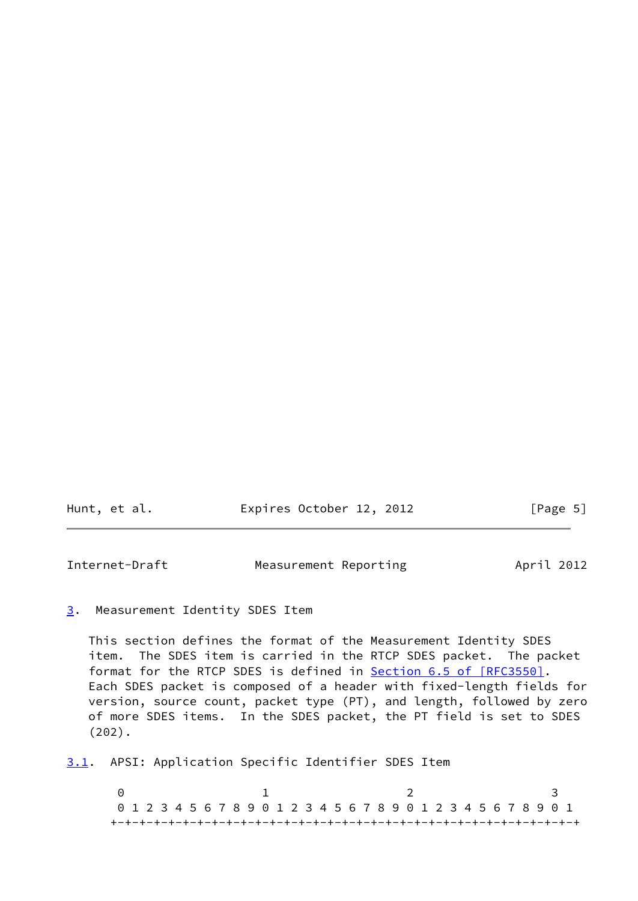<span id="page-5-1"></span>

| Hunt, et al. | Expires October 12, 2012 | [Page 5] |
|--------------|--------------------------|----------|
|--------------|--------------------------|----------|

### <span id="page-5-0"></span>[3](#page-5-0). Measurement Identity SDES Item

 This section defines the format of the Measurement Identity SDES item. The SDES item is carried in the RTCP SDES packet. The packet format for the RTCP SDES is defined in **Section 6.5 of [RFC3550]**. Each SDES packet is composed of a header with fixed-length fields for version, source count, packet type (PT), and length, followed by zero of more SDES items. In the SDES packet, the PT field is set to SDES (202).

<span id="page-5-2"></span>[3.1](#page-5-2). APSI: Application Specific Identifier SDES Item

0 1 2 3 0 1 2 3 4 5 6 7 8 9 0 1 2 3 4 5 6 7 8 9 0 1 2 3 4 5 6 7 8 9 0 1 +-+-+-+-+-+-+-+-+-+-+-+-+-+-+-+-+-+-+-+-+-+-+-+-+-+-+-+-+-+-+-+-+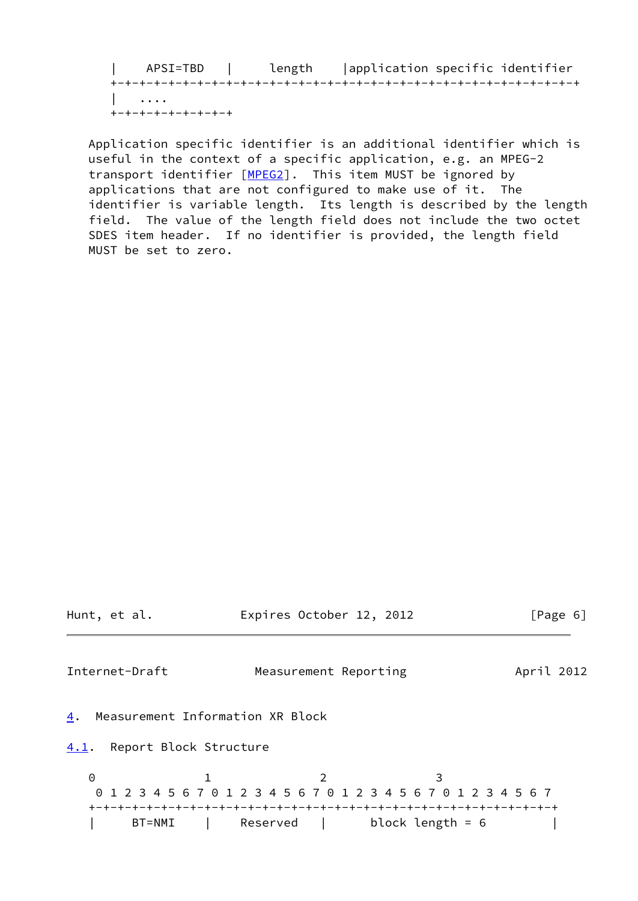| APSI=TBD | length |application specific identifier +-+-+-+-+-+-+-+-+-+-+-+-+-+-+-+-+-+-+-+-+-+-+-+-+-+-+-+-+-+-+-+-+ | .... +-+-+-+-+-+-+-+-+

 Application specific identifier is an additional identifier which is useful in the context of a specific application, e.g. an MPEG-2 transport identifier [\[MPEG2\]](#page-11-5). This item MUST be ignored by applications that are not configured to make use of it. The identifier is variable length. Its length is described by the length field. The value of the length field does not include the two octet SDES item header. If no identifier is provided, the length field MUST be set to zero.

<span id="page-6-2"></span><span id="page-6-1"></span><span id="page-6-0"></span>

| Hunt, et al.                           | Expires October 12, 2012                                                                                               | [Page 6]   |
|----------------------------------------|------------------------------------------------------------------------------------------------------------------------|------------|
| Internet-Draft                         | Measurement Reporting                                                                                                  | April 2012 |
| Measurement Information XR Block<br>4. |                                                                                                                        |            |
| Report Block Structure<br>4.1.         |                                                                                                                        |            |
| 0<br>BT=NMI                            | 3<br>$\overline{2}$<br>0 1 2 3 4 5 6 7 0 1 2 3 4 5 6 7 0 1 2 3 4 5 6 7 0 1 2 3 4 5 6 7<br>block length = 6<br>Reserved |            |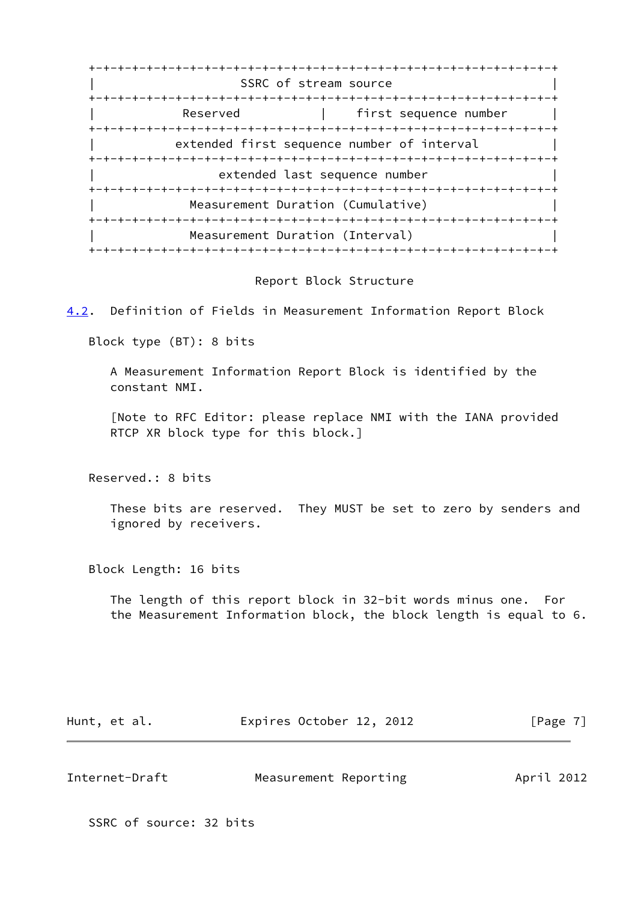+-+-+-+-+-+-+-+-+-+-+-+-+-+-+-+-+-+-+-+-+-+-+-+-+-+-+-+-+-+-+-+-+ SSRC of stream source +-+-+-+-+-+-+-+-+-+-+-+-+-+-+-+-+-+-+-+-+-+-+-+-+-+-+-+-+-+-+-+-+ Reserved | first sequence number +-+-+-+-+-+-+-+-+-+-+-+-+-+-+-+-+-+-+-+-+-+-+-+-+-+-+-+-+-+-+-+-+ extended first sequence number of interval +-+-+-+-+-+-+-+-+-+-+-+-+-+-+-+-+-+-+-+-+-+-+-+-+-+-+-+-+-+-+-+-+ extended last sequence number +-+-+-+-+-+-+-+-+-+-+-+-+-+-+-+-+-+-+-+-+-+-+-+-+-+-+-+-+-+-+-+-+ Measurement Duration (Cumulative) +-+-+-+-+-+-+-+-+-+-+-+-+-+-+-+-+-+-+-+-+-+-+-+-+-+-+-+-+-+-+-+-+ Measurement Duration (Interval) +-+-+-+-+-+-+-+-+-+-+-+-+-+-+-+-+-+-+-+-+-+-+-+-+-+-+-+-+-+-+-+-+

#### Report Block Structure

<span id="page-7-0"></span>[4.2](#page-7-0). Definition of Fields in Measurement Information Report Block

Block type (BT): 8 bits

 A Measurement Information Report Block is identified by the constant NMI.

 [Note to RFC Editor: please replace NMI with the IANA provided RTCP XR block type for this block.]

Reserved.: 8 bits

 These bits are reserved. They MUST be set to zero by senders and ignored by receivers.

Block Length: 16 bits

 The length of this report block in 32-bit words minus one. For the Measurement Information block, the block length is equal to 6.

| Hunt, et al. | Expires October 12, 2012 |  | [Page 7] |
|--------------|--------------------------|--|----------|
|--------------|--------------------------|--|----------|

| Internet-Draft | Measurement Reporting | April 2012 |
|----------------|-----------------------|------------|
|                |                       |            |

SSRC of source: 32 bits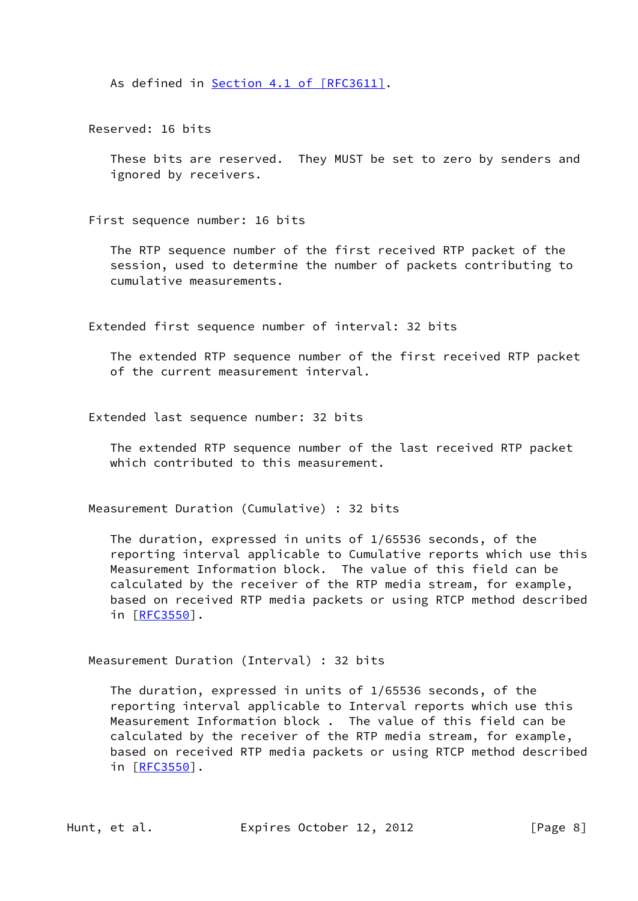As defined in Section [4.1 of \[RFC3611\]](https://datatracker.ietf.org/doc/pdf/rfc3611#section-4.1).

Reserved: 16 bits

 These bits are reserved. They MUST be set to zero by senders and ignored by receivers.

First sequence number: 16 bits

 The RTP sequence number of the first received RTP packet of the session, used to determine the number of packets contributing to cumulative measurements.

Extended first sequence number of interval: 32 bits

 The extended RTP sequence number of the first received RTP packet of the current measurement interval.

Extended last sequence number: 32 bits

 The extended RTP sequence number of the last received RTP packet which contributed to this measurement.

Measurement Duration (Cumulative) : 32 bits

 The duration, expressed in units of 1/65536 seconds, of the reporting interval applicable to Cumulative reports which use this Measurement Information block. The value of this field can be calculated by the receiver of the RTP media stream, for example, based on received RTP media packets or using RTCP method described in [[RFC3550](https://datatracker.ietf.org/doc/pdf/rfc3550)].

Measurement Duration (Interval) : 32 bits

 The duration, expressed in units of 1/65536 seconds, of the reporting interval applicable to Interval reports which use this Measurement Information block . The value of this field can be calculated by the receiver of the RTP media stream, for example, based on received RTP media packets or using RTCP method described in [[RFC3550](https://datatracker.ietf.org/doc/pdf/rfc3550)].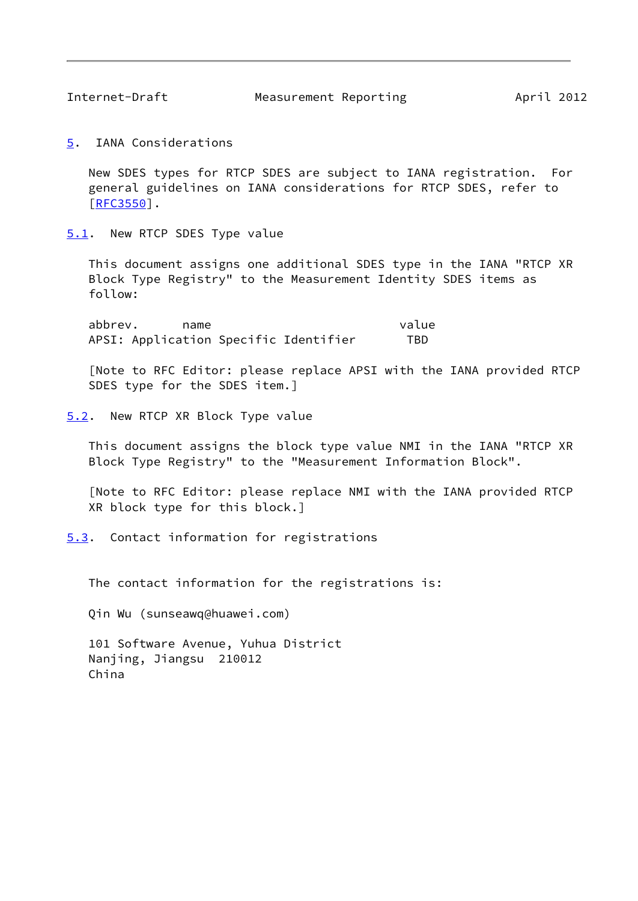<span id="page-9-1"></span><span id="page-9-0"></span>[5](#page-9-0). IANA Considerations

 New SDES types for RTCP SDES are subject to IANA registration. For general guidelines on IANA considerations for RTCP SDES, refer to [\[RFC3550](https://datatracker.ietf.org/doc/pdf/rfc3550)].

<span id="page-9-2"></span>[5.1](#page-9-2). New RTCP SDES Type value

 This document assigns one additional SDES type in the IANA "RTCP XR Block Type Registry" to the Measurement Identity SDES items as follow:

 abbrev. name value APSI: Application Specific Identifier TBD

 [Note to RFC Editor: please replace APSI with the IANA provided RTCP SDES type for the SDES item.]

<span id="page-9-3"></span>[5.2](#page-9-3). New RTCP XR Block Type value

 This document assigns the block type value NMI in the IANA "RTCP XR Block Type Registry" to the "Measurement Information Block".

 [Note to RFC Editor: please replace NMI with the IANA provided RTCP XR block type for this block.]

<span id="page-9-4"></span>[5.3](#page-9-4). Contact information for registrations

The contact information for the registrations is:

Qin Wu (sunseawq@huawei.com)

 101 Software Avenue, Yuhua District Nanjing, Jiangsu 210012 China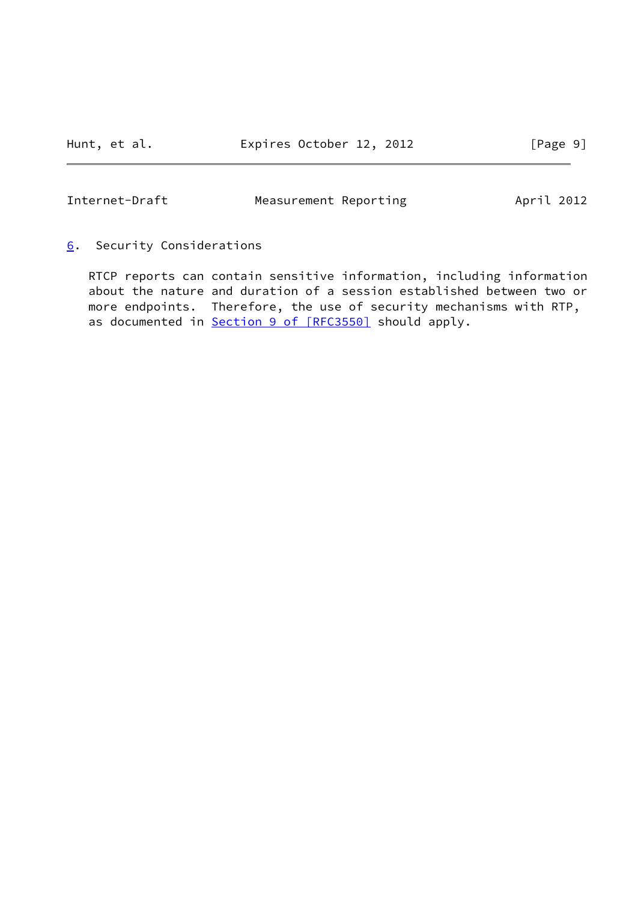# <span id="page-10-1"></span><span id="page-10-0"></span>[6](#page-10-0). Security Considerations

 RTCP reports can contain sensitive information, including information about the nature and duration of a session established between two or more endpoints. Therefore, the use of security mechanisms with RTP, as documented in **Section [9 of \[RFC3550\]](https://datatracker.ietf.org/doc/pdf/rfc3550#section-9)** should apply.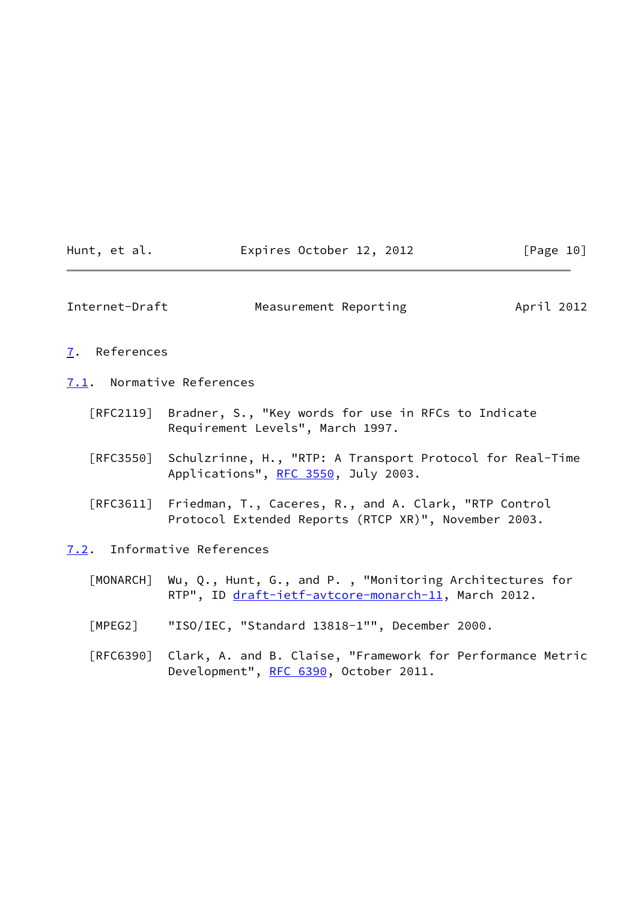<span id="page-11-1"></span>

| Hunt, et al. | Expires October 12, 2012 | [Page 10] |
|--------------|--------------------------|-----------|
|              |                          |           |

<span id="page-11-0"></span>[7](#page-11-0). References

<span id="page-11-2"></span>[7.1](#page-11-2). Normative References

- [RFC2119] Bradner, S., "Key words for use in RFCs to Indicate Requirement Levels", March 1997.
- [RFC3550] Schulzrinne, H., "RTP: A Transport Protocol for Real-Time Applications", [RFC 3550](https://datatracker.ietf.org/doc/pdf/rfc3550), July 2003.
- [RFC3611] Friedman, T., Caceres, R., and A. Clark, "RTP Control Protocol Extended Reports (RTCP XR)", November 2003.

<span id="page-11-3"></span>[7.2](#page-11-3). Informative References

- <span id="page-11-4"></span> [MONARCH] Wu, Q., Hunt, G., and P. , "Monitoring Architectures for RTP", ID [draft-ietf-avtcore-monarch-11,](https://datatracker.ietf.org/doc/pdf/draft-ietf-avtcore-monarch-11) March 2012.
- <span id="page-11-5"></span>[MPEG2] "ISO/IEC, "Standard 13818-1"", December 2000.
- [RFC6390] Clark, A. and B. Claise, "Framework for Performance Metric Development", [RFC 6390](https://datatracker.ietf.org/doc/pdf/rfc6390), October 2011.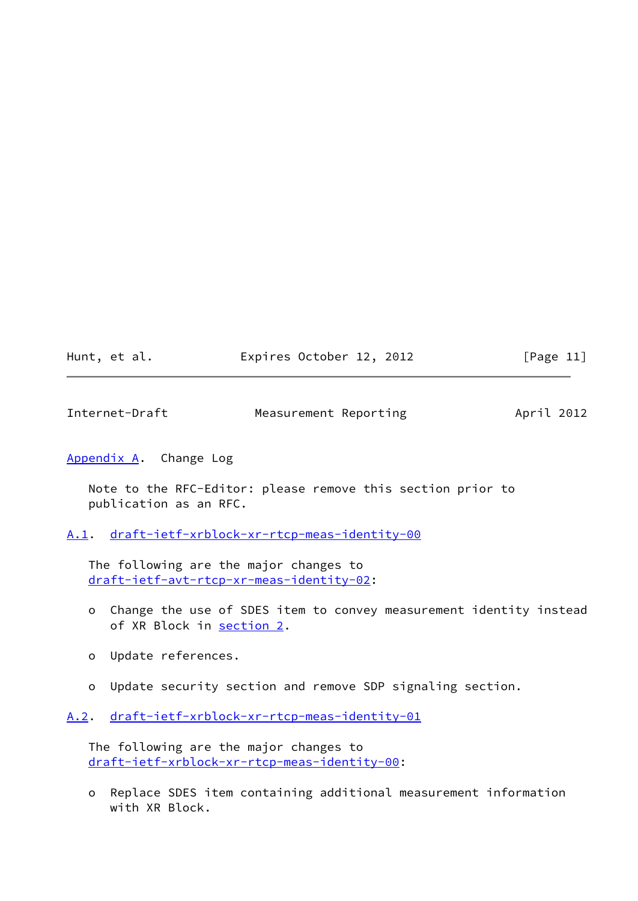| Hunt, et al. | Expires October 12, 2012 |  | [Page 11] |
|--------------|--------------------------|--|-----------|
|--------------|--------------------------|--|-----------|

<span id="page-12-1"></span>

| Internet-Draft | Measurement Reporting | April 2012 |  |
|----------------|-----------------------|------------|--|
|                |                       |            |  |

## <span id="page-12-0"></span>[Appendix A.](#page-12-0) Change Log

 Note to the RFC-Editor: please remove this section prior to publication as an RFC.

<span id="page-12-2"></span>[A.1](#page-12-2). [draft-ietf-xrblock-xr-rtcp-meas-identity-00](https://datatracker.ietf.org/doc/pdf/draft-ietf-xrblock-xr-rtcp-meas-identity-00)

 The following are the major changes to [draft-ietf-avt-rtcp-xr-meas-identity-02](https://datatracker.ietf.org/doc/pdf/draft-ietf-avt-rtcp-xr-meas-identity-02):

- o Change the use of SDES item to convey measurement identity instead of XR Block in [section 2.](#page-4-0)
- o Update references.
- o Update security section and remove SDP signaling section.

<span id="page-12-3"></span>[A.2](#page-12-3). [draft-ietf-xrblock-xr-rtcp-meas-identity-01](https://datatracker.ietf.org/doc/pdf/draft-ietf-xrblock-xr-rtcp-meas-identity-01)

 The following are the major changes to [draft-ietf-xrblock-xr-rtcp-meas-identity-00](https://datatracker.ietf.org/doc/pdf/draft-ietf-xrblock-xr-rtcp-meas-identity-00):

 o Replace SDES item containing additional measurement information with XR Block.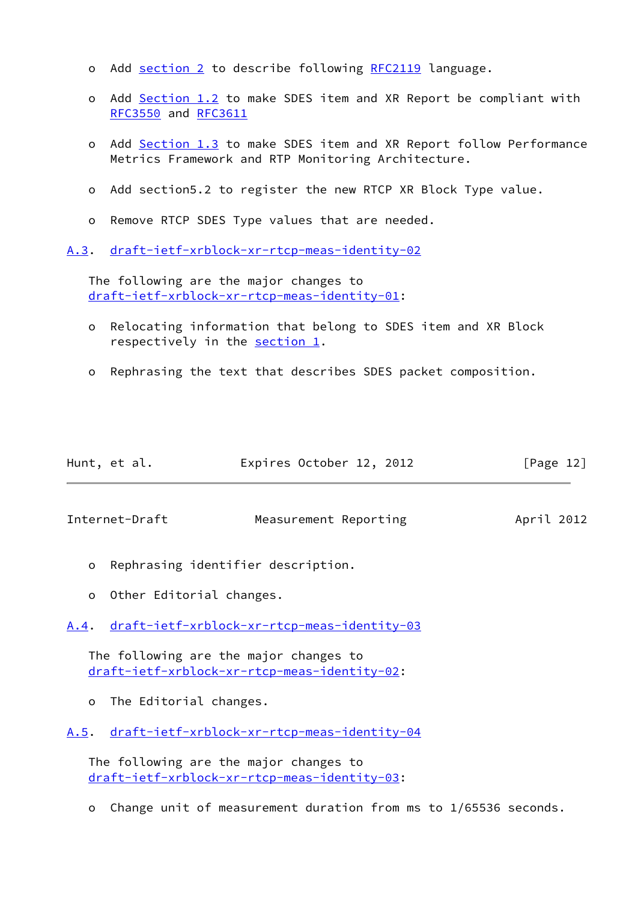- o Add [section 2](#page-4-0) to describe following [RFC2119](https://datatracker.ietf.org/doc/pdf/rfc2119) language.
- o Add [Section 1.2](#page-3-2) to make SDES item and XR Report be compliant with [RFC3550](https://datatracker.ietf.org/doc/pdf/rfc3550) and [RFC3611](https://datatracker.ietf.org/doc/pdf/rfc3611)
- o Add [Section 1.3](#page-3-3) to make SDES item and XR Report follow Performance Metrics Framework and RTP Monitoring Architecture.
- o Add section5.2 to register the new RTCP XR Block Type value.
- o Remove RTCP SDES Type values that are needed.
- <span id="page-13-0"></span>[A.3](#page-13-0). [draft-ietf-xrblock-xr-rtcp-meas-identity-02](https://datatracker.ietf.org/doc/pdf/draft-ietf-xrblock-xr-rtcp-meas-identity-02)

 The following are the major changes to [draft-ietf-xrblock-xr-rtcp-meas-identity-01](https://datatracker.ietf.org/doc/pdf/draft-ietf-xrblock-xr-rtcp-meas-identity-01):

- o Relocating information that belong to SDES item and XR Block respectively in the [section 1.](#page-2-0)
- o Rephrasing the text that describes SDES packet composition.

| Hunt, et al. | Expires October 12, 2012 | [Page 12] |
|--------------|--------------------------|-----------|
|              |                          |           |

<span id="page-13-2"></span>Internet-Draft Measurement Reporting Measurement Reporting

- o Rephrasing identifier description.
- o Other Editorial changes.
- <span id="page-13-1"></span>[A.4](#page-13-1). [draft-ietf-xrblock-xr-rtcp-meas-identity-03](https://datatracker.ietf.org/doc/pdf/draft-ietf-xrblock-xr-rtcp-meas-identity-03)

 The following are the major changes to [draft-ietf-xrblock-xr-rtcp-meas-identity-02](https://datatracker.ietf.org/doc/pdf/draft-ietf-xrblock-xr-rtcp-meas-identity-02):

o The Editorial changes.

<span id="page-13-3"></span>[A.5](#page-13-3). [draft-ietf-xrblock-xr-rtcp-meas-identity-04](https://datatracker.ietf.org/doc/pdf/draft-ietf-xrblock-xr-rtcp-meas-identity-04)

 The following are the major changes to [draft-ietf-xrblock-xr-rtcp-meas-identity-03](https://datatracker.ietf.org/doc/pdf/draft-ietf-xrblock-xr-rtcp-meas-identity-03):

o Change unit of measurement duration from ms to 1/65536 seconds.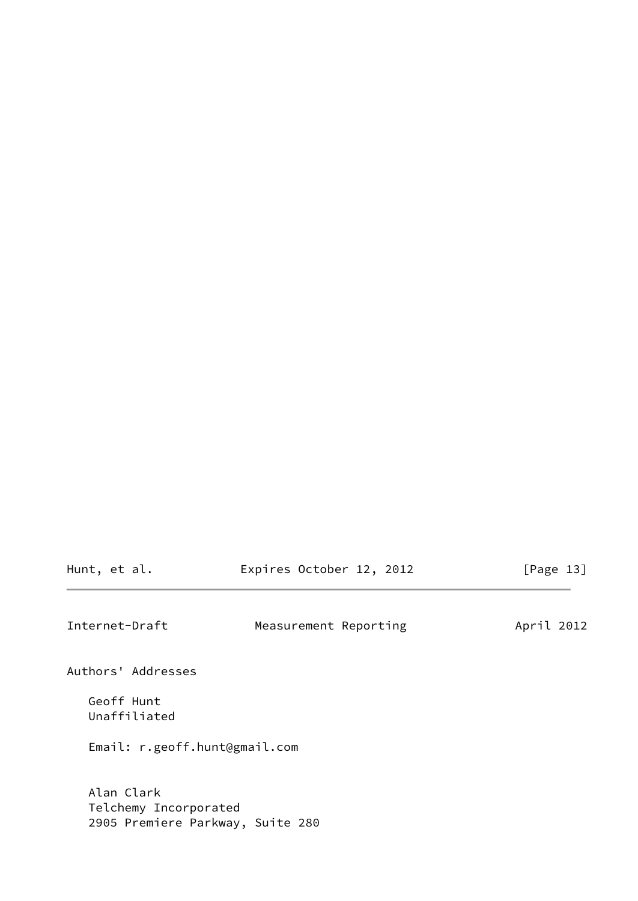<span id="page-14-0"></span>

| Internet-Draft                | Measurement Reporting | April 2012 |
|-------------------------------|-----------------------|------------|
| Authors' Addresses            |                       |            |
| Geoff Hunt<br>Unaffiliated    |                       |            |
| Email: r.geoff.hunt@gmail.com |                       |            |

Hunt, et al. **Expires October 12, 2012** [Page 13]

 Alan Clark Telchemy Incorporated 2905 Premiere Parkway, Suite 280